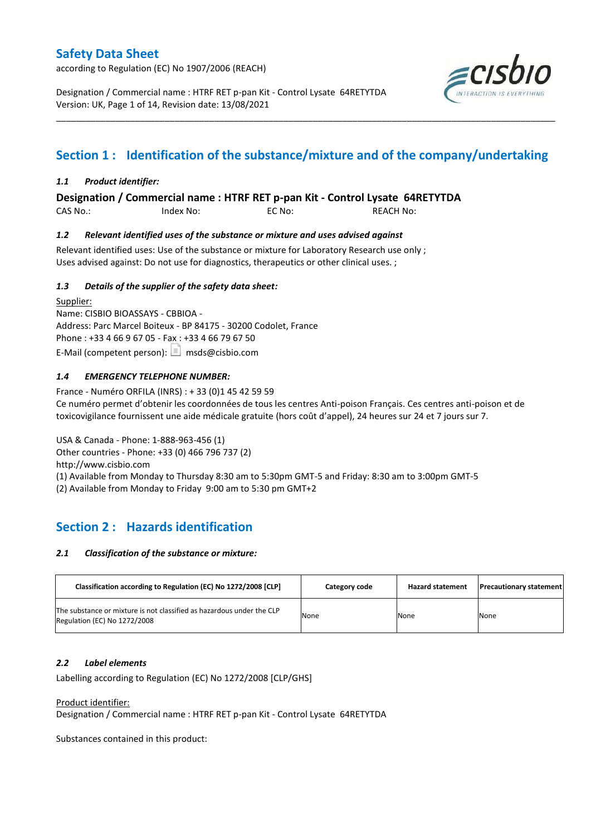according to Regulation (EC) No 1907/2006 (REACH)

Designation / Commercial name : HTRF RET p-pan Kit - Control Lysate 64RETYTDA Version: UK, Page 1 of 14, Revision date: 13/08/2021



# **Section 1 : Identification of the substance/mixture and of the company/undertaking**

\_\_\_\_\_\_\_\_\_\_\_\_\_\_\_\_\_\_\_\_\_\_\_\_\_\_\_\_\_\_\_\_\_\_\_\_\_\_\_\_\_\_\_\_\_\_\_\_\_\_\_\_\_\_\_\_\_\_\_\_\_\_\_\_\_\_\_\_\_\_\_\_\_\_\_\_\_\_\_\_\_\_\_\_\_\_\_\_\_\_\_\_\_\_\_\_\_\_\_\_\_

### *1.1 Product identifier:*

**Designation / Commercial name : HTRF RET p-pan Kit - Control Lysate 64RETYTDA** 

CAS No.: Index No: EC No: REACH No:

### *1.2 Relevant identified uses of the substance or mixture and uses advised against*

Relevant identified uses: Use of the substance or mixture for Laboratory Research use only ; Uses advised against: Do not use for diagnostics, therapeutics or other clinical uses. ;

### *1.3 Details of the supplier of the safety data sheet:*

Supplier: Name: CISBIO BIOASSAYS - CBBIOA - Address: Parc Marcel Boiteux - BP 84175 - 30200 Codolet, France Phone : +33 4 66 9 67 05 - Fax : +33 4 66 79 67 50 E-Mail (competent person):  $\boxed{\equiv}$  msds@cisbio.com

### *1.4 EMERGENCY TELEPHONE NUMBER:*

France - Numéro ORFILA (INRS) : + 33 (0)1 45 42 59 59 Ce numéro permet d'obtenir les coordonnées de tous les centres Anti-poison Français. Ces centres anti-poison et de toxicovigilance fournissent une aide médicale gratuite (hors coût d'appel), 24 heures sur 24 et 7 jours sur 7.

USA & Canada - Phone: 1-888-963-456 (1) Other countries - Phone: +33 (0) 466 796 737 (2) http://www.cisbio.com (1) Available from Monday to Thursday 8:30 am to 5:30pm GMT-5 and Friday: 8:30 am to 3:00pm GMT-5 (2) Available from Monday to Friday 9:00 am to 5:30 pm GMT+2

## **Section 2 : Hazards identification**

#### *2.1 Classification of the substance or mixture:*

| Classification according to Regulation (EC) No 1272/2008 [CLP]                                        | Category code | <b>Hazard statement</b> | <b>Precautionary statement</b> |
|-------------------------------------------------------------------------------------------------------|---------------|-------------------------|--------------------------------|
| The substance or mixture is not classified as hazardous under the CLP<br>Regulation (EC) No 1272/2008 | None          | None                    | None                           |

#### *2.2 Label elements*

Labelling according to Regulation (EC) No 1272/2008 [CLP/GHS]

Product identifier:

Designation / Commercial name : HTRF RET p-pan Kit - Control Lysate 64RETYTDA

Substances contained in this product: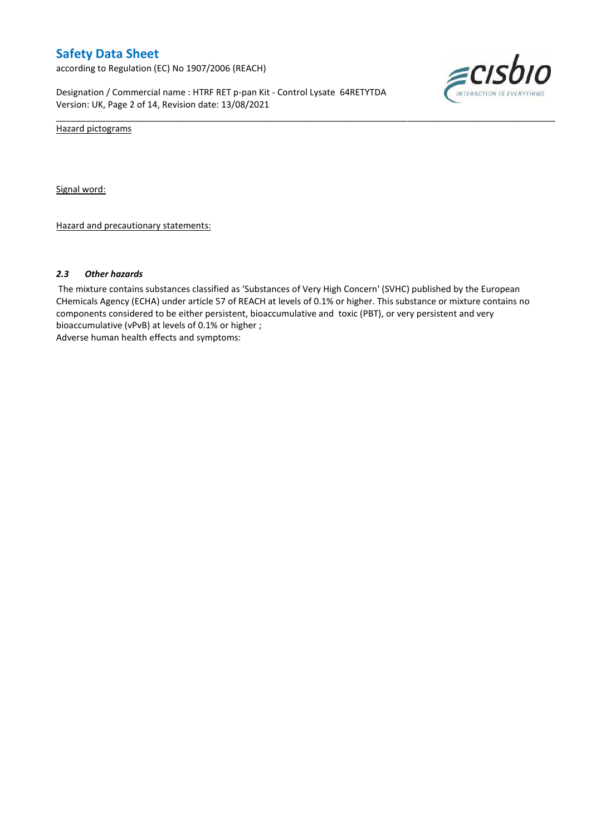according to Regulation (EC) No 1907/2006 (REACH)

Designation / Commercial name : HTRF RET p-pan Kit - Control Lysate 64RETYTDA Version: UK, Page 2 of 14, Revision date: 13/08/2021



Hazard pictograms

Signal word:

Hazard and precautionary statements:

#### *2.3 Other hazards*

The mixture contains substances classified as 'Substances of Very High Concern' (SVHC) published by the European CHemicals Agency (ECHA) under article 57 of REACH at levels of 0.1% or higher. This substance or mixture contains no components considered to be either persistent, bioaccumulative and toxic (PBT), or very persistent and very bioaccumulative (vPvB) at levels of 0.1% or higher ; Adverse human health effects and symptoms:

\_\_\_\_\_\_\_\_\_\_\_\_\_\_\_\_\_\_\_\_\_\_\_\_\_\_\_\_\_\_\_\_\_\_\_\_\_\_\_\_\_\_\_\_\_\_\_\_\_\_\_\_\_\_\_\_\_\_\_\_\_\_\_\_\_\_\_\_\_\_\_\_\_\_\_\_\_\_\_\_\_\_\_\_\_\_\_\_\_\_\_\_\_\_\_\_\_\_\_\_\_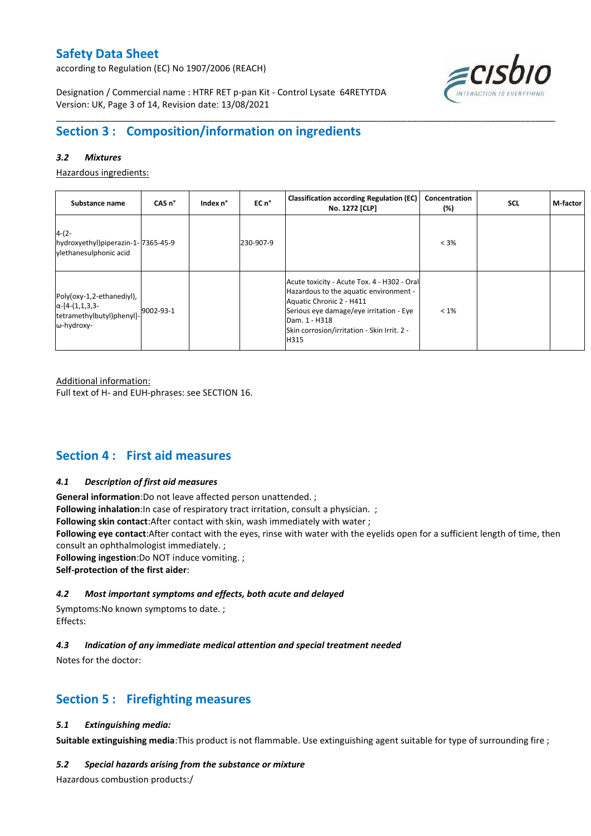according to Regulation (EC) No 1907/2006 (REACH)



Designation / Commercial name : HTRF RET p-pan Kit - Control Lysate 64RETYTDA Version: UK, Page 3 of 14, Revision date: 13/08/2021

# **Section 3 : Composition/information on ingredients**

### *3.2 Mixtures*

Hazardous ingredients:

| Substance name                                                                                 | CAS <sub>n</sub> ° | Index n° | EC n°     | <b>Classification according Regulation (EC)</b><br>No. 1272 [CLP]                                                                                                                                                                    | Concentration<br>(%) | <b>SCL</b> | M-factor |
|------------------------------------------------------------------------------------------------|--------------------|----------|-----------|--------------------------------------------------------------------------------------------------------------------------------------------------------------------------------------------------------------------------------------|----------------------|------------|----------|
| $4-(2-$<br>hydroxyethyl)piperazin-1-7365-45-9<br>vlethanesulphonic acid                        |                    |          | 230-907-9 |                                                                                                                                                                                                                                      | $< 3\%$              |            |          |
| Poly(oxy-1,2-ethanediyl),<br>$\alpha$ -[4-(1,1,3,3-<br>tetramethylbutyl)phenyl]-<br>ω-hydroxy- | 9002-93-1          |          |           | Acute toxicity - Acute Tox. 4 - H302 - Oral<br>Hazardous to the aquatic environment -<br>Aquatic Chronic 2 - H411<br>Serious eye damage/eye irritation - Eye<br>Dam. 1 - H318<br>Skin corrosion/irritation - Skin Irrit. 2 -<br>H315 | $< 1\%$              |            |          |

\_\_\_\_\_\_\_\_\_\_\_\_\_\_\_\_\_\_\_\_\_\_\_\_\_\_\_\_\_\_\_\_\_\_\_\_\_\_\_\_\_\_\_\_\_\_\_\_\_\_\_\_\_\_\_\_\_\_\_\_\_\_\_\_\_\_\_\_\_\_\_\_\_\_\_\_\_\_\_\_\_\_\_\_\_\_\_\_\_\_\_\_\_\_\_\_\_\_\_\_\_

Additional information:

Full text of H- and EUH-phrases: see SECTION 16.

## **Section 4 : First aid measures**

#### *4.1 Description of first aid measures*

**General information**:Do not leave affected person unattended. ;

**Following inhalation**: In case of respiratory tract irritation, consult a physician. ;

**Following skin contact**:After contact with skin, wash immediately with water ;

**Following eye contact**:After contact with the eyes, rinse with water with the eyelids open for a sufficient length of time, then consult an ophthalmologist immediately. ;

**Following ingestion**:Do NOT induce vomiting. ;

**Self-protection of the first aider**:

#### *4.2 Most important symptoms and effects, both acute and delayed*

Symptoms:No known symptoms to date. ; Effects:

### *4.3 Indication of any immediate medical attention and special treatment needed*

Notes for the doctor:

## **Section 5 : Firefighting measures**

#### *5.1 Extinguishing media:*

**Suitable extinguishing media**:This product is not flammable. Use extinguishing agent suitable for type of surrounding fire ;

#### *5.2 Special hazards arising from the substance or mixture*

Hazardous combustion products:/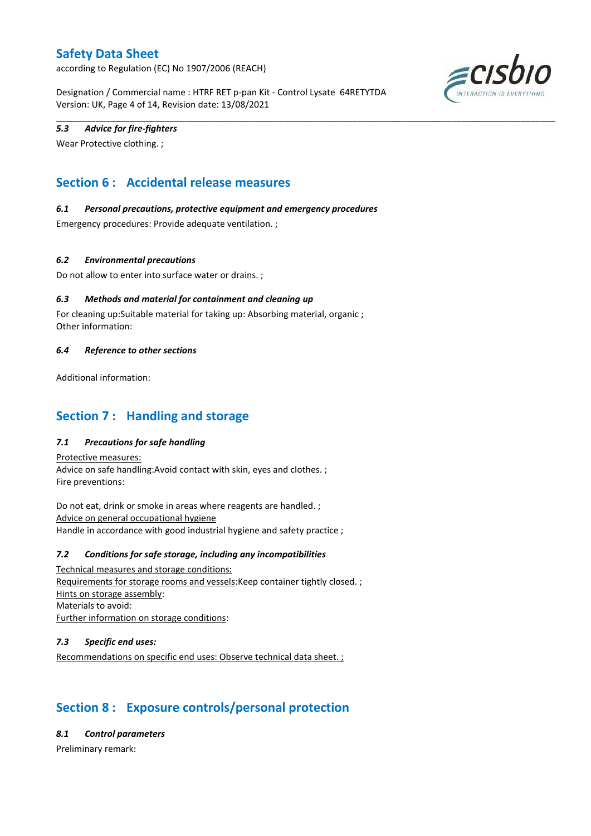according to Regulation (EC) No 1907/2006 (REACH)

Designation / Commercial name : HTRF RET p-pan Kit - Control Lysate 64RETYTDA Version: UK, Page 4 of 14, Revision date: 13/08/2021

\_\_\_\_\_\_\_\_\_\_\_\_\_\_\_\_\_\_\_\_\_\_\_\_\_\_\_\_\_\_\_\_\_\_\_\_\_\_\_\_\_\_\_\_\_\_\_\_\_\_\_\_\_\_\_\_\_\_\_\_\_\_\_\_\_\_\_\_\_\_\_\_\_\_\_\_\_\_\_\_\_\_\_\_\_\_\_\_\_\_\_\_\_\_\_\_\_\_\_\_\_



### *5.3 Advice for fire-fighters*

Wear Protective clothing. ;

# **Section 6 : Accidental release measures**

### *6.1 Personal precautions, protective equipment and emergency procedures*

Emergency procedures: Provide adequate ventilation. ;

### *6.2 Environmental precautions*

Do not allow to enter into surface water or drains. ;

### *6.3 Methods and material for containment and cleaning up*

For cleaning up:Suitable material for taking up: Absorbing material, organic ; Other information:

#### *6.4 Reference to other sections*

Additional information:

## **Section 7 : Handling and storage**

### *7.1 Precautions for safe handling*

Protective measures: Advice on safe handling:Avoid contact with skin, eyes and clothes. ; Fire preventions:

Do not eat, drink or smoke in areas where reagents are handled. ; Advice on general occupational hygiene Handle in accordance with good industrial hygiene and safety practice ;

#### *7.2 Conditions for safe storage, including any incompatibilities*

Technical measures and storage conditions: Requirements for storage rooms and vessels:Keep container tightly closed. ; Hints on storage assembly: Materials to avoid: Further information on storage conditions:

#### *7.3 Specific end uses:*

Recommendations on specific end uses: Observe technical data sheet. ;

# **Section 8 : Exposure controls/personal protection**

*8.1 Control parameters*

Preliminary remark: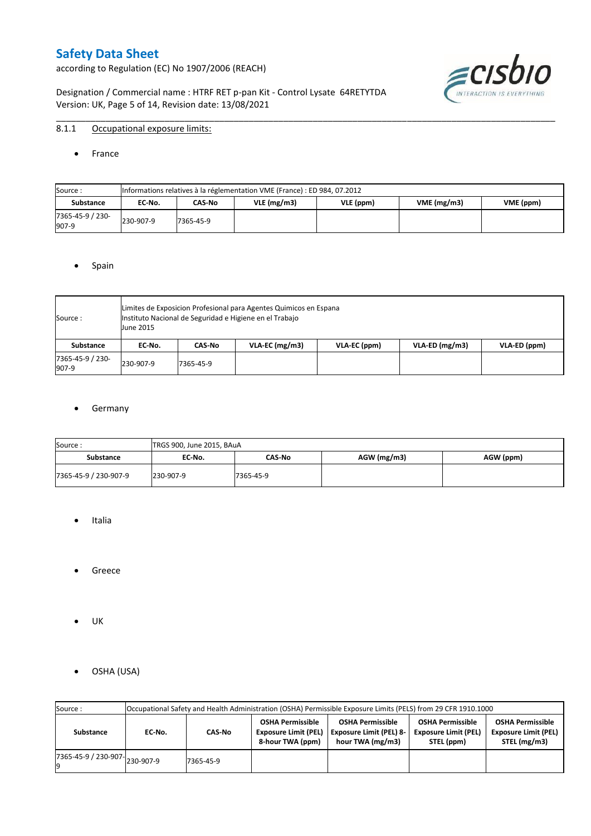according to Regulation (EC) No 1907/2006 (REACH)

Designation / Commercial name : HTRF RET p-pan Kit - Control Lysate 64RETYTDA Version: UK, Page 5 of 14, Revision date: 13/08/2021



## 8.1.1 Occupational exposure limits:

• France

| Source:                   |           | Informations relatives à la réglementation VME (France) : ED 984, 07.2012 |  |  |  |  |  |  |  |  |  |  |  |  |
|---------------------------|-----------|---------------------------------------------------------------------------|--|--|--|--|--|--|--|--|--|--|--|--|
| <b>Substance</b>          | EC No.    | VME(mg/m3)<br>$VLE$ (mg/m3)<br>VLE (ppm)<br>VME (ppm)<br>CAS-No           |  |  |  |  |  |  |  |  |  |  |  |  |
| 7365-45-9 / 230-<br>907-9 | 230-907-9 | 7365-45-9                                                                 |  |  |  |  |  |  |  |  |  |  |  |  |

\_\_\_\_\_\_\_\_\_\_\_\_\_\_\_\_\_\_\_\_\_\_\_\_\_\_\_\_\_\_\_\_\_\_\_\_\_\_\_\_\_\_\_\_\_\_\_\_\_\_\_\_\_\_\_\_\_\_\_\_\_\_\_\_\_\_\_\_\_\_\_\_\_\_\_\_\_\_\_\_\_\_\_\_\_\_\_\_\_\_\_\_\_\_\_\_\_\_\_\_\_

#### • Spain

| Source:                   | <b>June 2015</b> |           | Limites de Exposicion Profesional para Agentes Quimicos en Espana<br>Instituto Nacional de Seguridad e Higiene en el Trabajo |              |                  |              |
|---------------------------|------------------|-----------|------------------------------------------------------------------------------------------------------------------------------|--------------|------------------|--------------|
| Substance                 | EC No.           | CAS-No    | $VLA-EC$ (mg/m3)                                                                                                             | VLA-EC (ppm) | $VLA-ED (mg/m3)$ | VLA-ED (ppm) |
| 7365-45-9 / 230-<br>907-9 | 230-907-9        | 7365-45-9 |                                                                                                                              |              |                  |              |

### **•** Germany

| Source:               | TRGS 900, June 2015, BAuA |           |             |           |
|-----------------------|---------------------------|-----------|-------------|-----------|
| <b>Substance</b>      | EC No.                    | CAS-No    | AGW (mg/m3) | AGW (ppm) |
| 7365-45-9 / 230-907-9 | 230-907-9                 | 7365-45-9 |             |           |

- Italia
- **•** Greece
- UK
- OSHA (USA)

| Source:              |           |           |                                                                            | Occupational Safety and Health Administration (OSHA) Permissible Exposure Limits (PELS) from 29 CFR 1910.1000 |                                                                                                                                                |  |  |
|----------------------|-----------|-----------|----------------------------------------------------------------------------|---------------------------------------------------------------------------------------------------------------|------------------------------------------------------------------------------------------------------------------------------------------------|--|--|
| Substance            | EC-No.    | CAS-No    | <b>OSHA Permissible</b><br><b>Exposure Limit (PEL)</b><br>8-hour TWA (ppm) | <b>OSHA Permissible</b><br><b>Exposure Limit (PEL) 8-</b><br>hour TWA (mg/m3)                                 | <b>OSHA Permissible</b><br><b>OSHA Permissible</b><br><b>Exposure Limit (PEL)</b><br><b>Exposure Limit (PEL)</b><br>STEL (mg/m3)<br>STEL (ppm) |  |  |
| 7365-45-9 / 230-907- | 230-907-9 | 7365-45-9 |                                                                            |                                                                                                               |                                                                                                                                                |  |  |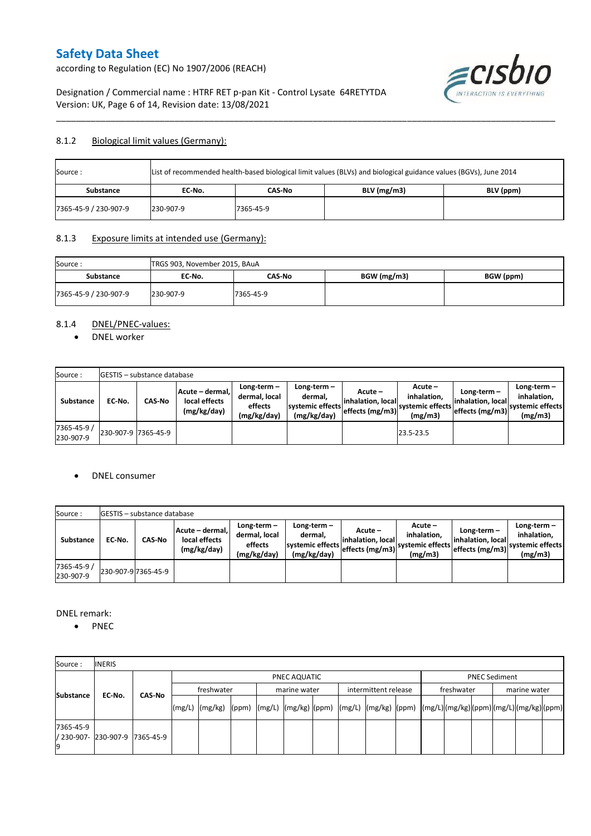according to Regulation (EC) No 1907/2006 (REACH)



Designation / Commercial name : HTRF RET p-pan Kit - Control Lysate 64RETYTDA Version: UK, Page 6 of 14, Revision date: 13/08/2021

### 8.1.2 Biological limit values (Germany):

| Source:               | List of recommended health-based biological limit values (BLVs) and biological guidance values (BGVs), June 2014 |           |               |           |  |  |  |  |  |  |
|-----------------------|------------------------------------------------------------------------------------------------------------------|-----------|---------------|-----------|--|--|--|--|--|--|
| <b>Substance</b>      | EC No.                                                                                                           | CAS-No    | $BLV$ (mg/m3) | BLV (ppm) |  |  |  |  |  |  |
| 7365-45-9 / 230-907-9 | 230-907-9                                                                                                        | 7365-45-9 |               |           |  |  |  |  |  |  |

\_\_\_\_\_\_\_\_\_\_\_\_\_\_\_\_\_\_\_\_\_\_\_\_\_\_\_\_\_\_\_\_\_\_\_\_\_\_\_\_\_\_\_\_\_\_\_\_\_\_\_\_\_\_\_\_\_\_\_\_\_\_\_\_\_\_\_\_\_\_\_\_\_\_\_\_\_\_\_\_\_\_\_\_\_\_\_\_\_\_\_\_\_\_\_\_\_\_\_\_\_

### 8.1.3 Exposure limits at intended use (Germany):

| Source:               | TRGS 903, November 2015, BAuA |           |             |           |
|-----------------------|-------------------------------|-----------|-------------|-----------|
| <b>Substance</b>      | EC No.                        | CAS-No    | BGW (mg/m3) | BGW (ppm) |
| 7365-45-9 / 230-907-9 | 230-907-9                     | 7365-45-9 |             |           |

### 8.1.4 DNEL/PNEC-values:

• DNEL worker

| Source:                  |                     | <b>GESTIS</b> – substance database |                                                 |                                                       |                                                             |                                                  |                                                       |                                                         |                                                             |
|--------------------------|---------------------|------------------------------------|-------------------------------------------------|-------------------------------------------------------|-------------------------------------------------------------|--------------------------------------------------|-------------------------------------------------------|---------------------------------------------------------|-------------------------------------------------------------|
| Substance                | EC No.              | <b>CAS-No</b>                      | Acute - dermal.<br>local effects<br>(mg/kg/day) | Long-term-<br>dermal, local<br>effects<br>(mg/kg/day) | $Long-term -$<br>dermal.<br>systemic effects<br>(mg/kg/day) | Acute –<br>linhalation. local<br>effects (mg/m3) | Acute -<br>inhalation.<br>systemic effects<br>(mg/m3) | Long-term -<br>linhalation. locall<br>effects $(mg/m3)$ | $Long-term -$<br>inhalation.<br>systemic effects<br>(mg/m3) |
| 7365-45-9 /<br>230-907-9 | 230-907-9 7365-45-9 |                                    |                                                 |                                                       |                                                             |                                                  | 23.5-23.5                                             |                                                         |                                                             |

#### DNEL consumer

| Source:                  |        | <b>IGESTIS</b> – substance database |                                                 |                                                          |                                                          |                                                  |                                                       |                                                         |                                                             |
|--------------------------|--------|-------------------------------------|-------------------------------------------------|----------------------------------------------------------|----------------------------------------------------------|--------------------------------------------------|-------------------------------------------------------|---------------------------------------------------------|-------------------------------------------------------------|
| Substance                | EC No. | CAS-No                              | Acute - dermal.<br>local effects<br>(mg/kg/day) | Long-term $-$<br>dermal, local<br>effects<br>(mg/kg/day) | Long-term-<br>dermal.<br>systemic effects<br>(mg/kg/day) | Acute –<br>linhalation. local<br>effects (mg/m3) | Acute -<br>inhalation.<br>systemic effects<br>(mg/m3) | $Long-term -$<br>linhalation. local<br>leffects (mg/m3) | Long-term $-$<br>inhalation.<br>systemic effects<br>(mg/m3) |
| 7365-45-9 /<br>230-907-9 |        | 230-907-9 7365-45-9                 |                                                 |                                                          |                                                          |                                                  |                                                       |                                                         |                                                             |

DNEL remark:

• PNEC

| Source:          | <b>INERIS</b>                  |               |  |                                                                                                                    |              |              |  |                      |  |                      |  |              |  |
|------------------|--------------------------------|---------------|--|--------------------------------------------------------------------------------------------------------------------|--------------|--------------|--|----------------------|--|----------------------|--|--------------|--|
|                  |                                |               |  |                                                                                                                    | PNEC AQUATIC |              |  |                      |  | <b>PNEC Sediment</b> |  |              |  |
| <b>Substance</b> |                                | <b>CAS-No</b> |  | freshwater                                                                                                         |              | marine water |  | intermittent release |  | freshwater           |  | marine water |  |
|                  | EC-No.                         |               |  | [(mg/L)  (mg/kg)  (ppm)  (mg/L)  (mg/kg)  (ppm)  (mg/L)  (mg/kg)  (ppm)  (mg/L) (mg/kg) (ppm) (mg/L) (mg/kg) (ppm) |              |              |  |                      |  |                      |  |              |  |
| 7365-45-9        | / 230-907- 230-907-9 7365-45-9 |               |  |                                                                                                                    |              |              |  |                      |  |                      |  |              |  |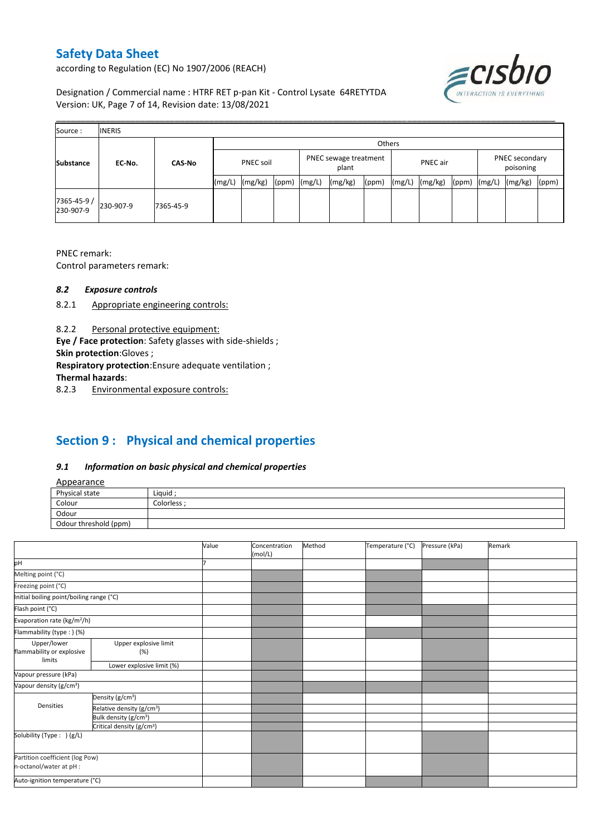according to Regulation (EC) No 1907/2006 (REACH)



Designation / Commercial name : HTRF RET p-pan Kit - Control Lysate 64RETYTDA Version: UK, Page 7 of 14, Revision date: 13/08/2021

| Source:                  | <b>INERIS</b> |               |                  |         |       |                                |         |        |          |         |       |                             |         |       |
|--------------------------|---------------|---------------|------------------|---------|-------|--------------------------------|---------|--------|----------|---------|-------|-----------------------------|---------|-------|
|                          |               |               |                  |         |       |                                |         | Others |          |         |       |                             |         |       |
| <b>Substance</b>         | EC-No.        | <b>CAS-No</b> | <b>PNEC soil</b> |         |       | PNEC sewage treatment<br>plant |         |        | PNEC air |         |       | PNEC secondary<br>poisoning |         |       |
|                          |               |               | (mg/L)           | (mg/kg) | (ppm) | (mg/L)                         | (mg/kg) | (ppm)  | (mg/L)   | (mg/kg) | (ppm) | (mg/L)                      | (mg/kg) | (ppm) |
| 7365-45-9 /<br>230-907-9 | 230-907-9     | 7365-45-9     |                  |         |       |                                |         |        |          |         |       |                             |         |       |

PNEC remark:

Control parameters remark:

#### *8.2 Exposure controls*

- 8.2.1 Appropriate engineering controls:
- 8.2.2 Personal protective equipment:

**Eye / Face protection**: Safety glasses with side-shields ;

**Skin protection**:Gloves ;

**Respiratory protection**:Ensure adequate ventilation ;

**Thermal hazards**:

8.2.3 Environmental exposure controls:

# **Section 9 : Physical and chemical properties**

### *9.1 Information on basic physical and chemical properties*

|--|

| <b>Appearance</b>                                      |            |
|--------------------------------------------------------|------------|
| Physical state                                         | Liquid     |
| Colour<br>the control of the control of the control of | Colorless: |
| Odour                                                  |            |
| Odour threshold (ppm)                                  |            |

|                                          |                                       | Value | Concentration<br>(mol/L) | Method | Temperature (°C) | Pressure (kPa) | Remark |
|------------------------------------------|---------------------------------------|-------|--------------------------|--------|------------------|----------------|--------|
| þН                                       |                                       |       |                          |        |                  |                |        |
| Melting point (°C)                       |                                       |       |                          |        |                  |                |        |
| Freezing point (°C)                      |                                       |       |                          |        |                  |                |        |
| Initial boiling point/boiling range (°C) |                                       |       |                          |        |                  |                |        |
| Flash point (°C)                         |                                       |       |                          |        |                  |                |        |
| Evaporation rate (kg/m <sup>2</sup> /h)  |                                       |       |                          |        |                  |                |        |
| Flammability (type: ) (%)                |                                       |       |                          |        |                  |                |        |
| Upper/lower                              | Upper explosive limit                 |       |                          |        |                  |                |        |
| flammability or explosive                | (%)                                   |       |                          |        |                  |                |        |
| limits                                   | Lower explosive limit (%)             |       |                          |        |                  |                |        |
| Vapour pressure (kPa)                    |                                       |       |                          |        |                  |                |        |
| Vapour density (g/cm <sup>3</sup> )      |                                       |       |                          |        |                  |                |        |
|                                          | Density (g/cm <sup>3</sup> )          |       |                          |        |                  |                |        |
| Densities                                | Relative density (g/cm <sup>3</sup> ) |       |                          |        |                  |                |        |
|                                          | Bulk density (g/cm <sup>3</sup> )     |       |                          |        |                  |                |        |
|                                          | Critical density (g/cm <sup>3</sup> ) |       |                          |        |                  |                |        |
| Solubility (Type: ) (g/L)                |                                       |       |                          |        |                  |                |        |
| n-octanol/water at pH :                  | Partition coefficient (log Pow)       |       |                          |        |                  |                |        |
| Auto-ignition temperature (°C)           |                                       |       |                          |        |                  |                |        |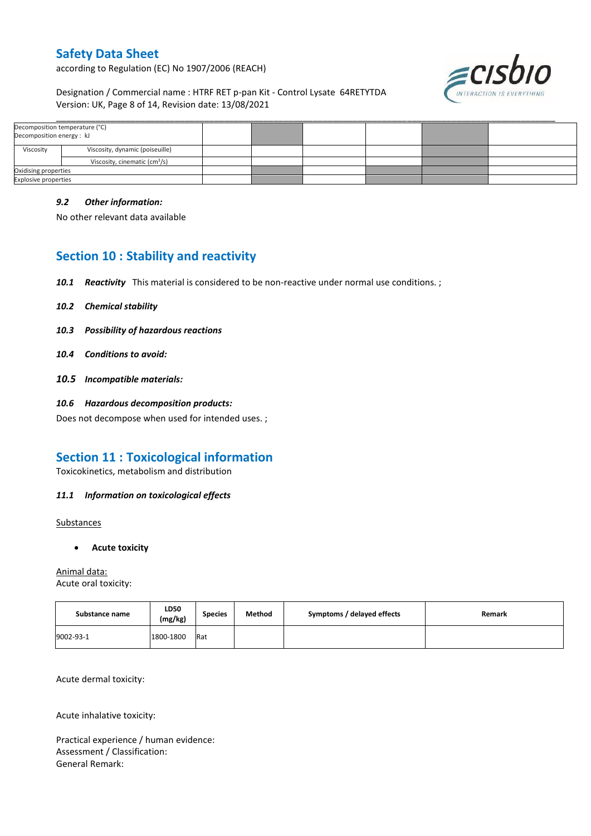according to Regulation (EC) No 1907/2006 (REACH)



Designation / Commercial name : HTRF RET p-pan Kit - Control Lysate 64RETYTDA Version: UK, Page 8 of 14, Revision date: 13/08/2021

| Decomposition energy: kJ    | Decomposition temperature (°C)            |  |  |  |
|-----------------------------|-------------------------------------------|--|--|--|
| Viscosity                   | Viscosity, dynamic (poiseuille)           |  |  |  |
|                             | Viscosity, cinematic (cm <sup>3</sup> /s) |  |  |  |
| Oxidising properties        |                                           |  |  |  |
| <b>Explosive properties</b> |                                           |  |  |  |

\_\_\_\_\_\_\_\_\_\_\_\_\_\_\_\_\_\_\_\_\_\_\_\_\_\_\_\_\_\_\_\_\_\_\_\_\_\_\_\_\_\_\_\_\_\_\_\_\_\_\_\_\_\_\_\_\_\_\_\_\_\_\_\_\_\_\_\_\_\_\_\_\_\_\_\_\_\_\_\_\_\_\_\_\_\_\_\_\_\_\_\_\_\_\_\_\_\_\_\_\_

#### *9.2 Other information:*

No other relevant data available

## **Section 10 : Stability and reactivity**

- 10.1 **Reactivity** This material is considered to be non-reactive under normal use conditions. ;
- *10.2 Chemical stability*
- *10.3 Possibility of hazardous reactions*
- *10.4 Conditions to avoid:*
- *10.5 Incompatible materials:*
- *10.6 Hazardous decomposition products:*

Does not decompose when used for intended uses. ;

## **Section 11 : Toxicological information**

Toxicokinetics, metabolism and distribution

### *11.1 Information on toxicological effects*

**Substances** 

**Acute toxicity**

Animal data: Acute oral toxicity:

| Substance name | LD50<br>(mg/kg) | <b>Species</b> | Method | Symptoms / delayed effects | Remark |
|----------------|-----------------|----------------|--------|----------------------------|--------|
| 9002-93-1      | 1800-1800       | <b>Rat</b>     |        |                            |        |

Acute dermal toxicity:

Acute inhalative toxicity:

Practical experience / human evidence: Assessment / Classification: General Remark: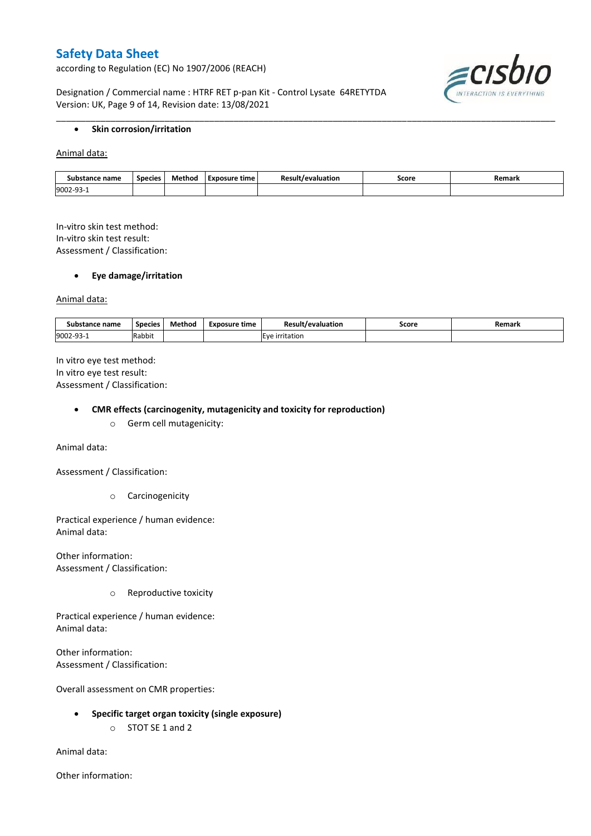according to Regulation (EC) No 1907/2006 (REACH)



Designation / Commercial name : HTRF RET p-pan Kit - Control Lysate 64RETYTDA Version: UK, Page 9 of 14, Revision date: 13/08/2021

### **•** Skin corrosion/irritation

Animal data:

| Substance name        | Species | Method | Exposure time | evaluation/ | Score<br>. | Remark |
|-----------------------|---------|--------|---------------|-------------|------------|--------|
| 9002-9.<br><b>سات</b> |         |        |               |             |            |        |

\_\_\_\_\_\_\_\_\_\_\_\_\_\_\_\_\_\_\_\_\_\_\_\_\_\_\_\_\_\_\_\_\_\_\_\_\_\_\_\_\_\_\_\_\_\_\_\_\_\_\_\_\_\_\_\_\_\_\_\_\_\_\_\_\_\_\_\_\_\_\_\_\_\_\_\_\_\_\_\_\_\_\_\_\_\_\_\_\_\_\_\_\_\_\_\_\_\_\_\_\_

In-vitro skin test method: In-vitro skin test result: Assessment / Classification:

#### **Eye damage/irritation**

Animal data:

| stance name<br>Substance | <b>Species</b> | Method | Exposure time | Result<br>'/evaluation | Score | Remark |
|--------------------------|----------------|--------|---------------|------------------------|-------|--------|
| 9002-93-                 | Rabbit         |        |               | tatior<br>۱۱۵          |       |        |

In vitro eye test method: In vitro eye test result: Assessment / Classification:

#### **CMR effects (carcinogenity, mutagenicity and toxicity for reproduction)**

o Germ cell mutagenicity:

Animal data:

Assessment / Classification:

o Carcinogenicity

Practical experience / human evidence: Animal data:

Other information: Assessment / Classification:

o Reproductive toxicity

Practical experience / human evidence: Animal data:

Other information: Assessment / Classification:

Overall assessment on CMR properties:

- **Specific target organ toxicity (single exposure)**
	- o STOT SE 1 and 2

Animal data:

Other information: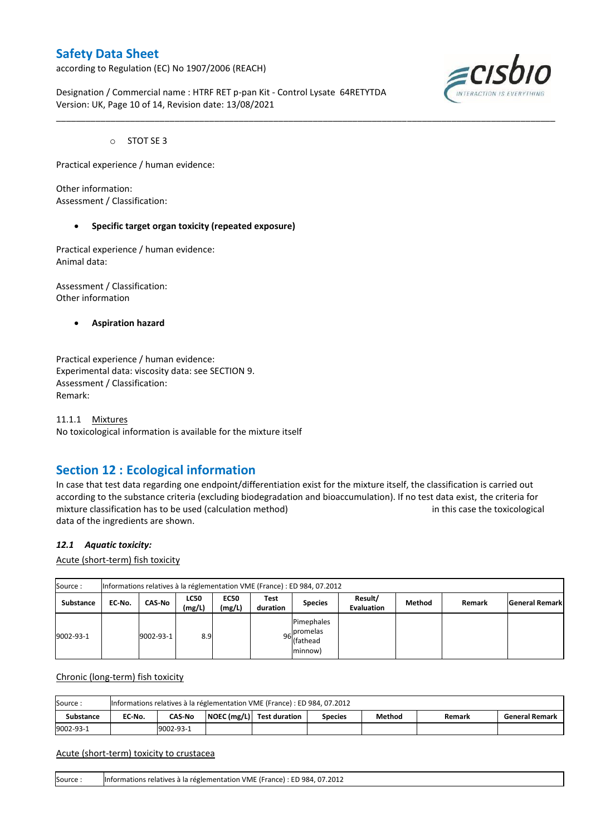according to Regulation (EC) No 1907/2006 (REACH)



Designation / Commercial name : HTRF RET p-pan Kit - Control Lysate 64RETYTDA Version: UK, Page 10 of 14, Revision date: 13/08/2021

o STOT SE 3

Practical experience / human evidence:

Other information: Assessment / Classification:

#### **Specific target organ toxicity (repeated exposure)**

Practical experience / human evidence: Animal data:

Assessment / Classification: Other information

**Aspiration hazard**

Practical experience / human evidence: Experimental data: viscosity data: see SECTION 9. Assessment / Classification: Remark:

11.1.1 Mixtures No toxicological information is available for the mixture itself

## **Section 12 : Ecological information**

In case that test data regarding one endpoint/differentiation exist for the mixture itself, the classification is carried out according to the substance criteria (excluding biodegradation and bioaccumulation). If no test data exist, the criteria for mixture classification has to be used (calculation method) in this case the toxicological data of the ingredients are shown.

\_\_\_\_\_\_\_\_\_\_\_\_\_\_\_\_\_\_\_\_\_\_\_\_\_\_\_\_\_\_\_\_\_\_\_\_\_\_\_\_\_\_\_\_\_\_\_\_\_\_\_\_\_\_\_\_\_\_\_\_\_\_\_\_\_\_\_\_\_\_\_\_\_\_\_\_\_\_\_\_\_\_\_\_\_\_\_\_\_\_\_\_\_\_\_\_\_\_\_\_\_

#### *12.1 Aquatic toxicity:*

Acute (short-term) fish toxicity

| Source:   | Informations relatives à la réglementation VME (France) : ED 984, 07.2012 |           |                       |                       |                  |                                                  |                              |        |        |                       |  |  |  |
|-----------|---------------------------------------------------------------------------|-----------|-----------------------|-----------------------|------------------|--------------------------------------------------|------------------------------|--------|--------|-----------------------|--|--|--|
| Substance | EC-No.                                                                    | CAS-No    | <b>LC50</b><br>(mg/L) | <b>EC50</b><br>(mg/L) | Test<br>duration | <b>Species</b>                                   | Result/<br><b>Evaluation</b> | Method | Remark | <b>General Remark</b> |  |  |  |
| 9002-93-1 |                                                                           | 9002-93-1 | 8.9                   |                       |                  | Pimephales<br>96 promelas<br>(fathead<br>minnow) |                              |        |        |                       |  |  |  |

Chronic (long-term) fish toxicity

| Source           | Informations relatives à la réglementation VME (France) : ED 984, 07.2012 |                                                                                                                    |  |  |  |  |  |  |  |  |  |  |
|------------------|---------------------------------------------------------------------------|--------------------------------------------------------------------------------------------------------------------|--|--|--|--|--|--|--|--|--|--|
| <b>Substance</b> | EC No.                                                                    | $\vert$ NOEC (mg/L) $\vert$ Test duration<br><b>CAS-No</b><br>Method<br><b>General Remark</b><br>Species<br>Remark |  |  |  |  |  |  |  |  |  |  |
| 9002-93-1        |                                                                           | 9002-93-1                                                                                                          |  |  |  |  |  |  |  |  |  |  |

Acute (short-term) toxicity to crustacea

Source : Informations relatives à la réglementation VME (France) : ED 984, 07.2012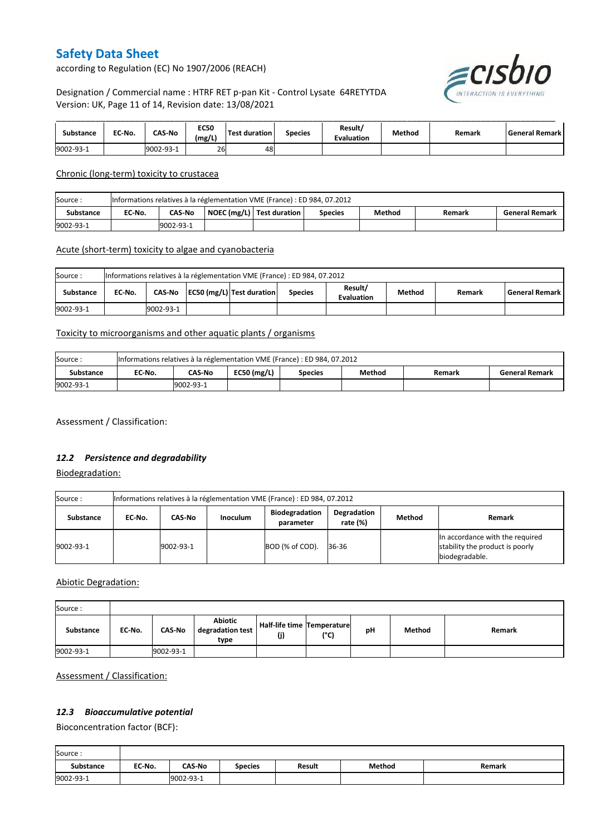according to Regulation (EC) No 1907/2006 (REACH)



## Designation / Commercial name : HTRF RET p-pan Kit - Control Lysate 64RETYTDA Version: UK, Page 11 of 14, Revision date: 13/08/2021

| Substance | EC No. | <b>CAS-No</b> | <b>EC50</b><br>(mg/L) | <b>Test duration</b> | <b>Species</b> | Result/<br><b>Evaluation</b> | Method | Remark | l General Remark l |
|-----------|--------|---------------|-----------------------|----------------------|----------------|------------------------------|--------|--------|--------------------|
| 9002-93-1 |        | 9002-93-1     | 26                    | 48                   |                |                              |        |        |                    |

Chronic (long-term) toxicity to crustacea

| Source:   | Informations relatives à la réglementation VME (France) : ED 984, 07.2012 |                                                                                                           |  |  |  |  |  |  |  |  |  |
|-----------|---------------------------------------------------------------------------|-----------------------------------------------------------------------------------------------------------|--|--|--|--|--|--|--|--|--|
| Substance | EC-No.                                                                    | NOEC (mg/L) Test duration<br>Method<br><b>CAS No</b><br><b>General Remark</b><br><b>Species</b><br>Remark |  |  |  |  |  |  |  |  |  |
| 9002-93-1 |                                                                           | 9002-93-1                                                                                                 |  |  |  |  |  |  |  |  |  |

### Acute (short-term) toxicity to algae and cyanobacteria

| Source:   | Informations relatives à la réglementation VME (France) : ED 984, 07.2012 |           |  |                           |                |                              |        |        |                       |  |  |  |
|-----------|---------------------------------------------------------------------------|-----------|--|---------------------------|----------------|------------------------------|--------|--------|-----------------------|--|--|--|
| Substance | EC No.                                                                    | CAS-No    |  | EC50 (mg/L) Test duration | <b>Species</b> | Result/<br><b>Evaluation</b> | Method | Remark | <b>General Remark</b> |  |  |  |
| 9002-93-1 |                                                                           | 9002-93-1 |  |                           |                |                              |        |        |                       |  |  |  |

### Toxicity to microorganisms and other aquatic plants / organisms

| Source:   | Informations relatives à la réglementation VME (France) : ED 984, 07.2012 |           |               |                |        |        |                       |  |
|-----------|---------------------------------------------------------------------------|-----------|---------------|----------------|--------|--------|-----------------------|--|
| Substance | EC No.                                                                    | CAS-No    | EC50 $(mg/L)$ | <b>Species</b> | Method | Remark | <b>General Remark</b> |  |
| 9002-93-1 |                                                                           | 9002-93-1 |               |                |        |        |                       |  |

Assessment / Classification:

## *12.2 Persistence and degradability*

Biodegradation:

| Source:   | Informations relatives à la réglementation VME (France) : ED 984, 07.2012 |           |                 |                                    |                            |        |                                                                                      |  |
|-----------|---------------------------------------------------------------------------|-----------|-----------------|------------------------------------|----------------------------|--------|--------------------------------------------------------------------------------------|--|
| Substance | EC No.                                                                    | CAS-No    | <b>Inoculum</b> | <b>Biodegradation</b><br>parameter | Degradation<br>rate $(\%)$ | Method | Remark                                                                               |  |
| 9002-93-1 |                                                                           | 9002-93-1 |                 | BOD (% of COD).                    | 36-36                      |        | In accordance with the required<br>stability the product is poorly<br>biodegradable. |  |

Abiotic Degradation:

| Source:   |        |               |                                            |                                       |      |    |        |        |
|-----------|--------|---------------|--------------------------------------------|---------------------------------------|------|----|--------|--------|
| Substance | EC-No. | <b>CAS-No</b> | <b>Abiotic</b><br>degradation test<br>type | Half-life time   Temperature  <br>(j) | (°C) | рH | Method | Remark |
| 9002-93-1 |        | 9002-93-1     |                                            |                                       |      |    |        |        |

Assessment / Classification:

## *12.3 Bioaccumulative potential*

Bioconcentration factor (BCF):

Ē

| Source:          |        |               |                |               |        |        |
|------------------|--------|---------------|----------------|---------------|--------|--------|
| <b>Substance</b> | EC No. | <b>CAS-No</b> | <b>Species</b> | <b>Result</b> | Method | Remark |
| 9002-93-1        |        | 9002-93-1     |                |               |        |        |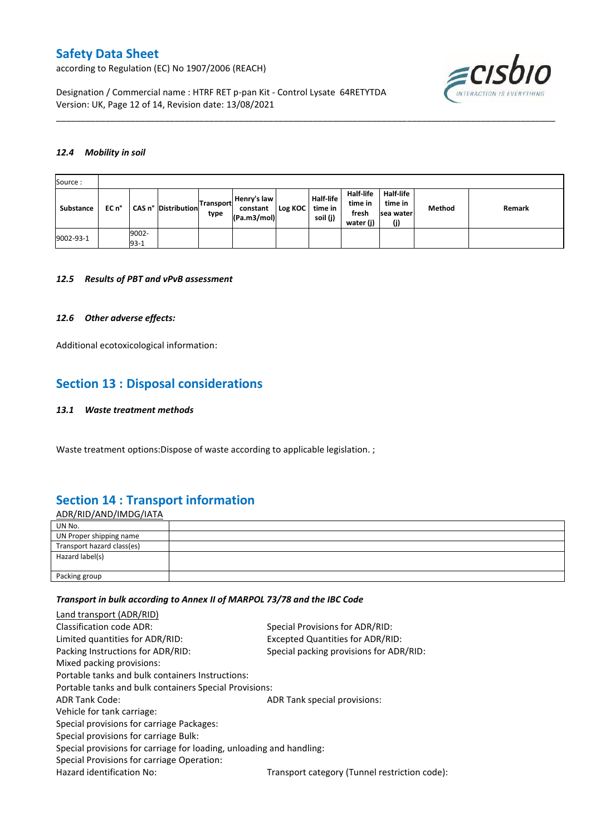according to Regulation (EC) No 1907/2006 (REACH)



Designation / Commercial name : HTRF RET p-pan Kit - Control Lysate 64RETYTDA Version: UK, Page 12 of 14, Revision date: 13/08/2021

#### *12.4 Mobility in soil*

| Source:   |       |                 |                     |                          |                                        |         |                                         |                                            |                                                  |        |        |
|-----------|-------|-----------------|---------------------|--------------------------|----------------------------------------|---------|-----------------------------------------|--------------------------------------------|--------------------------------------------------|--------|--------|
| Substance | EC n° |                 | CAS n° Distribution | <b>Transport</b><br>type | Henry's law<br>constant<br>(Pa.m3/mol) | Log KOC | <b>Half-life</b><br>time in<br>soil (j) | Half-life<br>time in<br>fresh<br>water (j) | <b>Half-life</b><br>time in<br>Isea water<br>(j) | Method | Remark |
| 9002-93-1 |       | 9002-<br>$93-1$ |                     |                          |                                        |         |                                         |                                            |                                                  |        |        |

\_\_\_\_\_\_\_\_\_\_\_\_\_\_\_\_\_\_\_\_\_\_\_\_\_\_\_\_\_\_\_\_\_\_\_\_\_\_\_\_\_\_\_\_\_\_\_\_\_\_\_\_\_\_\_\_\_\_\_\_\_\_\_\_\_\_\_\_\_\_\_\_\_\_\_\_\_\_\_\_\_\_\_\_\_\_\_\_\_\_\_\_\_\_\_\_\_\_\_\_\_

#### *12.5 Results of PBT and vPvB assessment*

#### *12.6 Other adverse effects:*

Additional ecotoxicological information:

## **Section 13 : Disposal considerations**

#### *13.1 Waste treatment methods*

Waste treatment options:Dispose of waste according to applicable legislation. ;

## **Section 14 : Transport information**

ADR/RID/AND/IMDG/IATA UN No. UN Proper shipping name Transport hazard class(es) Hazard label(s) Packing group

#### *Transport in bulk according to Annex II of MARPOL 73/78 and the IBC Code*

| Land transport (ADR/RID)                                             |                                               |
|----------------------------------------------------------------------|-----------------------------------------------|
| Classification code ADR:                                             | Special Provisions for ADR/RID:               |
| Limited quantities for ADR/RID:                                      | Excepted Quantities for ADR/RID:              |
| Packing Instructions for ADR/RID:                                    | Special packing provisions for ADR/RID:       |
| Mixed packing provisions:                                            |                                               |
| Portable tanks and bulk containers Instructions:                     |                                               |
| Portable tanks and bulk containers Special Provisions:               |                                               |
| <b>ADR Tank Code:</b>                                                | ADR Tank special provisions:                  |
| Vehicle for tank carriage:                                           |                                               |
| Special provisions for carriage Packages:                            |                                               |
| Special provisions for carriage Bulk:                                |                                               |
| Special provisions for carriage for loading, unloading and handling: |                                               |
| Special Provisions for carriage Operation:                           |                                               |
| Hazard identification No:                                            | Transport category (Tunnel restriction code): |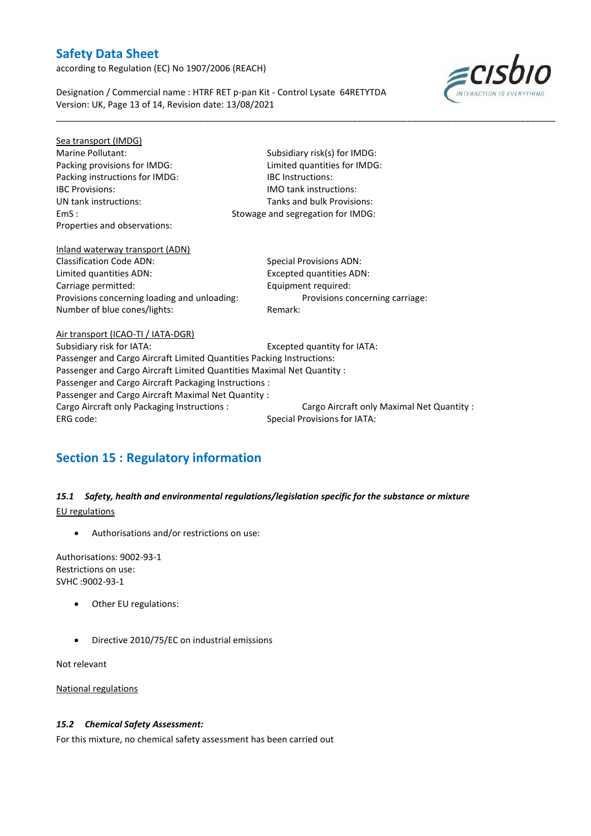according to Regulation (EC) No 1907/2006 (REACH)



Designation / Commercial name : HTRF RET p-pan Kit - Control Lysate 64RETYTDA Version: UK, Page 13 of 14, Revision date: 13/08/2021

\_\_\_\_\_\_\_\_\_\_\_\_\_\_\_\_\_\_\_\_\_\_\_\_\_\_\_\_\_\_\_\_\_\_\_\_\_\_\_\_\_\_\_\_\_\_\_\_\_\_\_\_\_\_\_\_\_\_\_\_\_\_\_\_\_\_\_\_\_\_\_\_\_\_\_\_\_\_\_\_\_\_\_\_\_\_\_\_\_\_\_\_\_\_\_\_\_\_\_\_\_

| Subsidiary risk(s) for IMDG:<br>Limited quantities for IMDG:<br><b>IBC</b> Instructions:<br><b>IMO</b> tank instructions:<br>Tanks and bulk Provisions:<br>Stowage and segregation for IMDG: |  |  |  |  |
|----------------------------------------------------------------------------------------------------------------------------------------------------------------------------------------------|--|--|--|--|
|                                                                                                                                                                                              |  |  |  |  |
|                                                                                                                                                                                              |  |  |  |  |
|                                                                                                                                                                                              |  |  |  |  |
|                                                                                                                                                                                              |  |  |  |  |
|                                                                                                                                                                                              |  |  |  |  |
|                                                                                                                                                                                              |  |  |  |  |
|                                                                                                                                                                                              |  |  |  |  |
|                                                                                                                                                                                              |  |  |  |  |
| <b>Special Provisions ADN:</b>                                                                                                                                                               |  |  |  |  |
| <b>Excepted quantities ADN:</b>                                                                                                                                                              |  |  |  |  |
| Equipment required:                                                                                                                                                                          |  |  |  |  |
| Provisions concerning carriage:                                                                                                                                                              |  |  |  |  |
| Remark:                                                                                                                                                                                      |  |  |  |  |
|                                                                                                                                                                                              |  |  |  |  |
| Excepted quantity for IATA:                                                                                                                                                                  |  |  |  |  |
| Passenger and Cargo Aircraft Limited Quantities Packing Instructions:                                                                                                                        |  |  |  |  |
| Passenger and Cargo Aircraft Limited Quantities Maximal Net Quantity :                                                                                                                       |  |  |  |  |
| Passenger and Cargo Aircraft Packaging Instructions :                                                                                                                                        |  |  |  |  |
| Passenger and Cargo Aircraft Maximal Net Quantity:                                                                                                                                           |  |  |  |  |
| Cargo Aircraft only Maximal Net Quantity :                                                                                                                                                   |  |  |  |  |
| <b>Special Provisions for IATA:</b>                                                                                                                                                          |  |  |  |  |
|                                                                                                                                                                                              |  |  |  |  |

# **Section 15 : Regulatory information**

## *15.1 Safety, health and environmental regulations/legislation specific for the substance or mixture* EU regulations

Authorisations and/or restrictions on use:

Authorisations: 9002-93-1 Restrictions on use: SVHC :9002-93-1

- Other EU regulations:
- Directive 2010/75/EC on industrial emissions

Not relevant

National regulations

### *15.2 Chemical Safety Assessment:*

For this mixture, no chemical safety assessment has been carried out